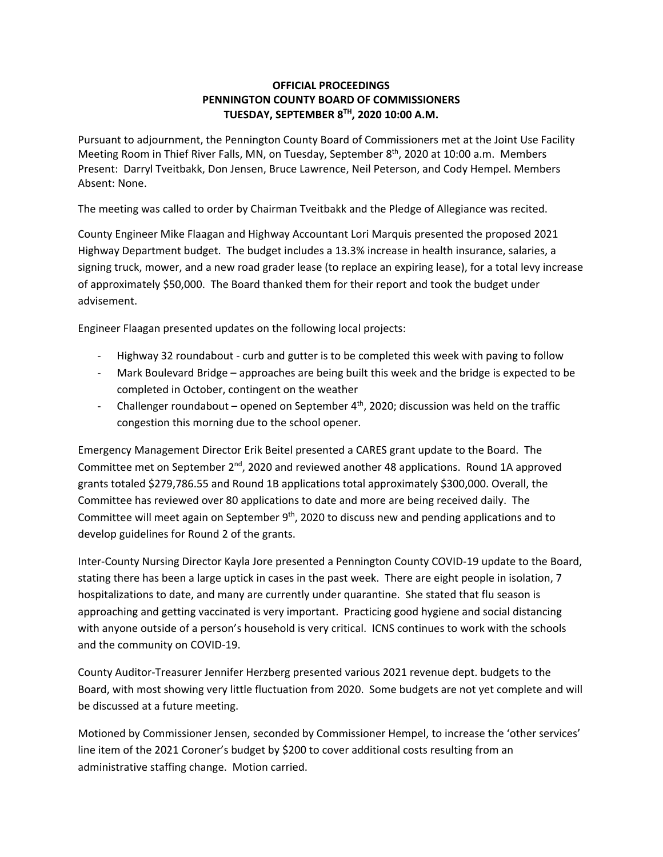## **OFFICIAL PROCEEDINGS PENNINGTON COUNTY BOARD OF COMMISSIONERS TUESDAY, SEPTEMBER 8TH, 2020 10:00 A.M.**

Pursuant to adjournment, the Pennington County Board of Commissioners met at the Joint Use Facility Meeting Room in Thief River Falls, MN, on Tuesday, September 8<sup>th</sup>, 2020 at 10:00 a.m. Members Present: Darryl Tveitbakk, Don Jensen, Bruce Lawrence, Neil Peterson, and Cody Hempel. Members Absent: None.

The meeting was called to order by Chairman Tveitbakk and the Pledge of Allegiance was recited.

County Engineer Mike Flaagan and Highway Accountant Lori Marquis presented the proposed 2021 Highway Department budget. The budget includes a 13.3% increase in health insurance, salaries, a signing truck, mower, and a new road grader lease (to replace an expiring lease), for a total levy increase of approximately \$50,000. The Board thanked them for their report and took the budget under advisement.

Engineer Flaagan presented updates on the following local projects:

- ‐ Highway 32 roundabout ‐ curb and gutter is to be completed this week with paving to follow
- ‐ Mark Boulevard Bridge approaches are being built this week and the bridge is expected to be completed in October, contingent on the weather
- Challenger roundabout opened on September  $4<sup>th</sup>$ , 2020; discussion was held on the traffic congestion this morning due to the school opener.

Emergency Management Director Erik Beitel presented a CARES grant update to the Board. The Committee met on September 2<sup>nd</sup>, 2020 and reviewed another 48 applications. Round 1A approved grants totaled \$279,786.55 and Round 1B applications total approximately \$300,000. Overall, the Committee has reviewed over 80 applications to date and more are being received daily. The Committee will meet again on September 9<sup>th</sup>, 2020 to discuss new and pending applications and to develop guidelines for Round 2 of the grants.

Inter‐County Nursing Director Kayla Jore presented a Pennington County COVID‐19 update to the Board, stating there has been a large uptick in cases in the past week. There are eight people in isolation, 7 hospitalizations to date, and many are currently under quarantine. She stated that flu season is approaching and getting vaccinated is very important. Practicing good hygiene and social distancing with anyone outside of a person's household is very critical. ICNS continues to work with the schools and the community on COVID‐19.

County Auditor‐Treasurer Jennifer Herzberg presented various 2021 revenue dept. budgets to the Board, with most showing very little fluctuation from 2020. Some budgets are not yet complete and will be discussed at a future meeting.

Motioned by Commissioner Jensen, seconded by Commissioner Hempel, to increase the 'other services' line item of the 2021 Coroner's budget by \$200 to cover additional costs resulting from an administrative staffing change. Motion carried.